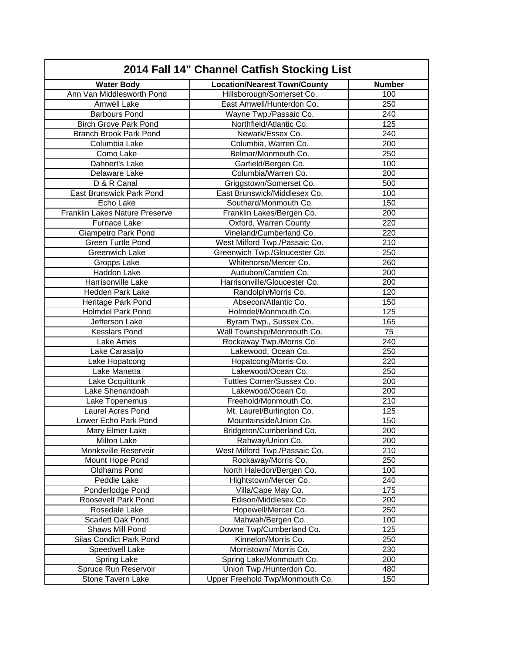| 2014 Fall 14" Channel Catfish Stocking List |                                     |                  |
|---------------------------------------------|-------------------------------------|------------------|
| <b>Water Body</b>                           | <b>Location/Nearest Town/County</b> | <b>Number</b>    |
| Ann Van Middlesworth Pond                   | Hillsborough/Somerset Co.           | 100              |
| Amwell Lake                                 | East Amwell/Hunterdon Co.           | 250              |
| <b>Barbours Pond</b>                        | Wayne Twp./Passaic Co.              | 240              |
| <b>Birch Grove Park Pond</b>                | Northfield/Atlantic Co.             | 125              |
| <b>Branch Brook Park Pond</b>               | Newark/Essex Co.                    | 240              |
| Columbia Lake                               | Columbia, Warren Co.                | 200              |
| Como Lake                                   | Belmar/Monmouth Co.                 | 250              |
| Dahnert's Lake                              | Garfield/Bergen Co.                 | 100              |
| Delaware Lake                               | Columbia/Warren Co.                 | 200              |
| D & R Canal                                 | Griggstown/Somerset Co.             | 500              |
| East Brunswick Park Pond                    | East Brunswick/Middlesex Co.        | 100              |
| Echo Lake                                   | Southard/Monmouth Co.               | 150              |
| Franklin Lakes Nature Preserve              | Franklin Lakes/Bergen Co.           | 200              |
| Furnace Lake                                | Oxford, Warren County               | 220              |
| <b>Giampetro Park Pond</b>                  | Vineland/Cumberland Co.             | 220              |
| Green Turtle Pond                           | West Milford Twp./Passaic Co.       | 210              |
| <b>Greenwich Lake</b>                       | Greenwich Twp./Gloucester Co.       | 250              |
| Gropps Lake                                 | Whitehorse/Mercer Co.               | 260              |
| Haddon Lake                                 | Audubon/Camden Co.                  | 200              |
| Harrisonville Lake                          | Harrisonville/Gloucester Co.        | 200              |
| <b>Hedden Park Lake</b>                     | Randolph/Morris Co.                 | 120              |
| Heritage Park Pond                          | Absecon/Atlantic Co.                | 150              |
| <b>Holmdel Park Pond</b>                    | Holmdel/Monmouth Co.                | 125              |
| Jefferson Lake                              | Byram Twp., Sussex Co.              | 165              |
| Kesslars Pond                               | Wall Township/Monmouth Co.          | 75               |
| Lake Ames                                   | Rockaway Twp./Morris Co.            | 240              |
| Lake Carasaljo                              | Lakewood, Ocean Co.                 | 250              |
| Lake Hopatcong                              | Hopatcong/Morris Co.                | 220              |
| Lake Manetta                                | Lakewood/Ocean Co.                  | 250              |
| Lake Ocquittunk                             | Tuttles Corner/Sussex Co.           | 200              |
| Lake Shenandoah                             | Lakewood/Ocean Co.                  | 200              |
| Lake Topenemus                              | Freehold/Monmouth Co.               | 210              |
| Laurel Acres Pond                           | Mt. Laurel/Burlington Co.           | 125              |
| Lower Echo Park Pond                        | Mountainside/Union Co.              | 150              |
| <b>Mary Elmer Lake</b>                      | Bridgeton/Cumberland Co.            | $\overline{200}$ |
| <b>Milton Lake</b>                          | Rahway/Union Co.                    | 200              |
| Monksville Reservoir                        | West Milford Twp./Passaic Co.       | 210              |
| Mount Hope Pond                             | Rockaway/Morris Co.                 | 250              |
| Oldhams Pond                                | North Haledon/Bergen Co.            | 100              |
| Peddie Lake                                 | Hightstown/Mercer Co.               | 240              |
| Ponderlodge Pond                            | Villa/Cape May Co.                  | 175              |
| Roosevelt Park Pond                         | Edison/Middlesex Co.                | 200              |
| Rosedale Lake                               | Hopewell/Mercer Co.                 | 250              |
| Scarlett Oak Pond                           | Mahwah/Bergen Co.                   | 100              |
| Shaws Mill Pond                             | Downe Twp/Cumberland Co.            | 125              |
| Silas Condict Park Pond                     | Kinnelon/Morris Co.                 | 250              |
| Speedwell Lake                              | Morristown/ Morris Co.              | 230              |
| Spring Lake                                 | Spring Lake/Monmouth Co.            | 200              |
| Spruce Run Reservoir                        | Union Twp./Hunterdon Co.            | 480              |
| Stone Tavern Lake                           | Upper Freehold Twp/Monmouth Co.     | 150              |
|                                             |                                     |                  |